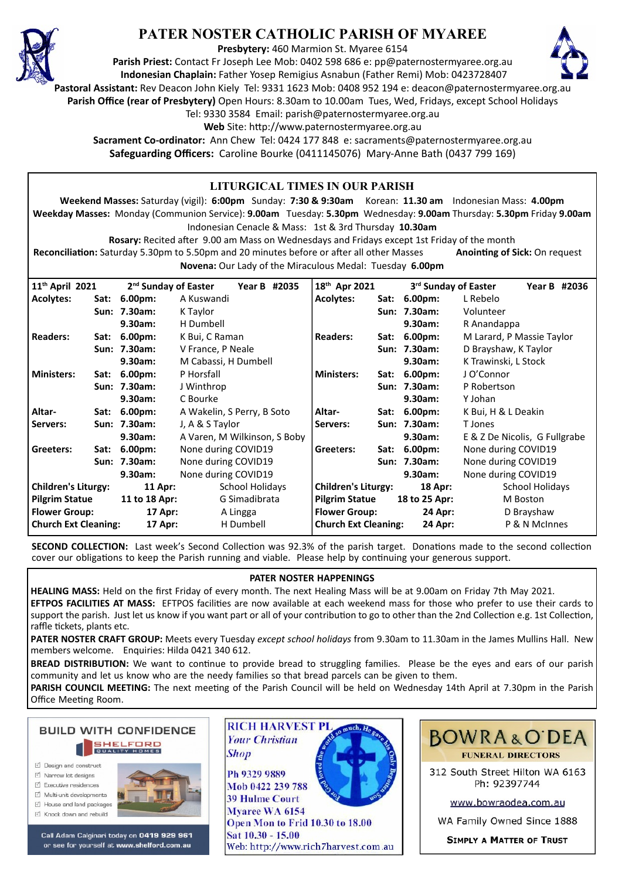

# **PATER NOSTER CATHOLIC PARISH OF MYAREE**

**Presbytery:** 460 Marmion St. Myaree 6154

**Parish Priest:** Contact Fr Joseph Lee Mob: 0402 598 686 e: pp@paternostermyaree.org.au **Indonesian Chaplain:** Father Yosep Remigius Asnabun (Father Remi) Mob: 0423728407



**Pastoral Assistant:** Rev Deacon John Kiely Tel: 9331 1623 Mob: 0408 952 194 e: deacon@paternostermyaree.org.au

**Parish Office (rear of Presbytery)** Open Hours: 8.30am to 10.00am Tues, Wed, Fridays, except School Holidays

Tel: 9330 3584 Email: parish@paternostermyaree.org.au

Web Site: http://www.paternostermyaree.org.au

**Sacrament Co-ordinator:** Ann Chew Tel: 0424 177 848 e: sacraments@paternostermyaree.org.au **Safeguarding Officers:** Caroline Bourke (0411145076) Mary-Anne Bath (0437 799 169)

#### **LITURGICAL TIMES IN OUR PARISH Weekend Masses:** Saturday (vigil): **6:00pm** Sunday: **7:30 & 9:30am** Korean: **11.30 am** Indonesian Mass: **4.00pm Weekday Masses:** Monday (Communion Service): **9.00am** Tuesday: **5.30pm** Wednesday: **9.00am** Thursday: **5.30pm** Friday **9.00am** Indonesian Cenacle & Mass: 1st & 3rd Thursday **10.30am Rosary:** Recited a�er 9.00 am Mass on Wednesdays and Fridays except 1st Friday of the month **Reconciliation:** Saturday 5.30pm to 5.50pm and 20 minutes before or after all other Masses **Anointing of Sick:** On request **Novena:** Our Lady of the Miraculous Medal: Tuesday **6.00pm 11th April 2021 2nd Sunday of Easter Year B #2035 Acolytes: Sat: 6.00pm:** A Kuswandi **Sun: 7.30am:** K Taylor **9.30am:** H Dumbell **Readers: Sat: 6.00pm:** K Bui, C Raman **Sun: 7.30am:** V France, P Neale **9.30am:** M Cabassi, H Dumbell **Ministers: Sat: 6.00pm:** P Horsfall **Sun: 7.30am:** J Winthrop **9.30am:** C Bourke **Altar- Sat: 6.00pm:** A Wakelin, S Perry, B Soto **Servers: Sun: 7.30am:** J, A & S Taylor **9.30am:** A Varen, M Wilkinson, S Boby **Greeters: Sat: 6.00pm:** None during COVID19 **Sun: 7.30am:** None during COVID19 **9.30am:** None during COVID19 **Children's Liturgy: 11 Apr:** School Holidays **Pilgrim Statue 11 to 18 Apr:** G Simadibrata **Flower Group: 17 Apr:** A Lingga **Church Ext Cleaning:** 17 Apr: H Dumbell **18th Apr 2021 3rd Sunday of Easter Year B #2036 Acolytes: Sat: 6.00pm:** L Rebelo **Sun: 7.30am:** Volunteer **9.30am:** R Anandappa **Readers: Sat: 6.00pm:** M Larard, P Massie Taylor **Sun: 7.30am:** D Brayshaw, K Taylor **9.30am:** K Trawinski, L Stock **Ministers: Sat: 6.00pm:** J O'Connor **Sun: 7.30am:** P Robertson **9.30am:** Y Johan **Altar- Sat: 6.00pm:** K Bui, H & L Deakin **Servers: Sun: 7.30am:** T Jones **9.30am:** E & Z De Nicolis, G Fullgrabe Greeters: Sat: 6.00pm: None during COVID19 **Sun: 7.30am:** None during COVID19 **9.30am:** None during COVID19 **Children's Liturgy: 18 Apr:** School Holidays **Pilgrim Statue 18 to 25 Apr:** M Boston **Flower Group:** 24 Apr: D Brayshaw **Church Ext Cleaning: 24 Apr:** P & N McInnes

**SECOND COLLECTION:** Last week's Second Collection was 92.3% of the parish target. Donations made to the second collection cover our obligations to keep the Parish running and viable. Please help by continuing your generous support.

### **PATER NOSTER HAPPENINGS**

**HEALING MASS:** Held on the first Friday of every month. The next Healing Mass will be at 9.00am on Friday 7th May 2021. **EFTPOS FACILITIES AT MASS:** EFTPOS facili�es are now available at each weekend mass for those who prefer to use their cards to support the parish. Just let us know if you want part or all of your contribution to go to other than the 2nd Collection e.g. 1st Collection, raffle tickets, plants etc.

**PATER NOSTER CRAFT GROUP:** Meets every Tuesday *except school holidays* from 9.30am to 11.30am in the James Mullins Hall. New members welcome. Enquiries: Hilda 0421 340 612.

BREAD DISTRIBUTION: We want to continue to provide bread to struggling families. Please be the eyes and ears of our parish community and let us know who are the needy families so that bread parcels can be given to them.

PARISH COUNCIL MEETING: The next meeting of the Parish Council will be held on Wednesday 14th April at 7.30pm in the Parish Office Meeting Room.



- □ Design and construct
- $\triangledown$  Narrow lot designe  $\triangledown$  Executive residences
- 
- $\overrightarrow{2}$  Multi-unit developments M House and land packages
- ☑ Knock down and rebuild



Call Adam Calginari today on 0419 929 961 or see for yourself at www.shelford.com.au



Mob 0422 239 788 **39 Hulme Court** Mvaree WA 6154 Open Mon to Frid 10.30 to 18.00 Sat 10.30 - 15.00 Web: http://www.rich7harvest.com.au

**Shop** 



312 South Street Hilton WA 6163 Ph: 92397744

www.bowraodea.com.au

WA Family Owned Since 1888

**SIMPLY A MATTER OF TRUST**